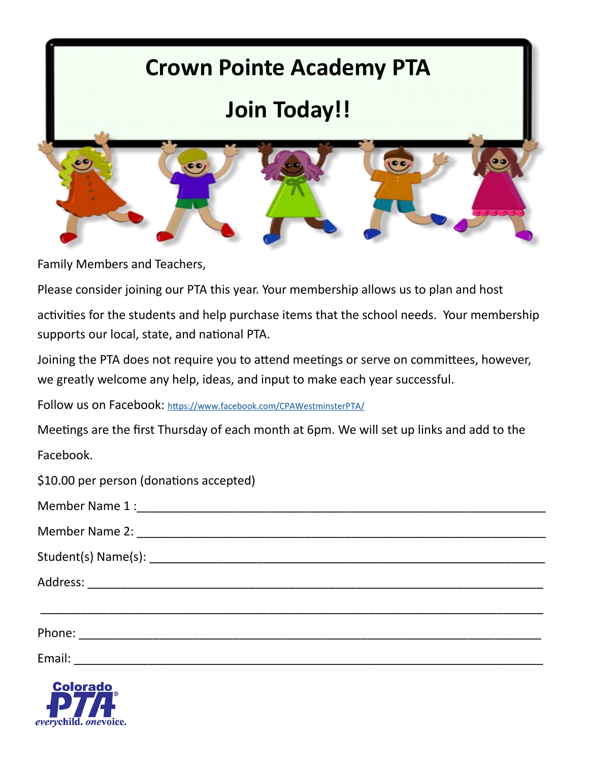

Family Members and Teachers,

Please consider joining our PTA this year. Your membership allows us to plan and host

activities for the students and help purchase items that the school needs. Your membership supports our local, state, and national PTA.

Joining the PTA does not require you to attend meetings or serve on committees, however, we greatly welcome any help, ideas, and input to make each year successful.

Follow us on Facebook: <https://www.facebook.com/CPAWestminsterPTA/>

Meetings are the first Thursday of each month at 6pm. We will set up links and add to the Facebook.

| \$10.00 per person (donations accepted) |
|-----------------------------------------|
|-----------------------------------------|